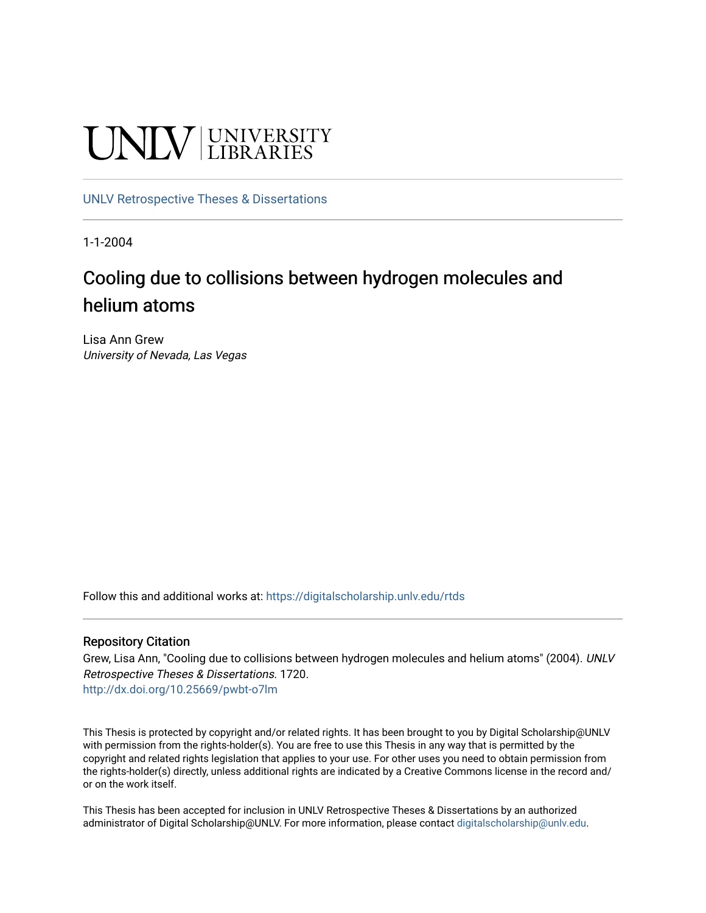# UNIV UNIVERSITY

# [UNLV Retrospective Theses & Dissertations](https://digitalscholarship.unlv.edu/rtds)

1-1-2004

# Cooling due to collisions between hydrogen molecules and helium atoms

Lisa Ann Grew University of Nevada, Las Vegas

Follow this and additional works at: [https://digitalscholarship.unlv.edu/rtds](https://digitalscholarship.unlv.edu/rtds?utm_source=digitalscholarship.unlv.edu%2Frtds%2F1720&utm_medium=PDF&utm_campaign=PDFCoverPages)

# Repository Citation

Grew, Lisa Ann, "Cooling due to collisions between hydrogen molecules and helium atoms" (2004). UNLV Retrospective Theses & Dissertations. 1720. <http://dx.doi.org/10.25669/pwbt-o7lm>

This Thesis is protected by copyright and/or related rights. It has been brought to you by Digital Scholarship@UNLV with permission from the rights-holder(s). You are free to use this Thesis in any way that is permitted by the copyright and related rights legislation that applies to your use. For other uses you need to obtain permission from the rights-holder(s) directly, unless additional rights are indicated by a Creative Commons license in the record and/ or on the work itself.

This Thesis has been accepted for inclusion in UNLV Retrospective Theses & Dissertations by an authorized administrator of Digital Scholarship@UNLV. For more information, please contact [digitalscholarship@unlv.edu.](mailto:digitalscholarship@unlv.edu)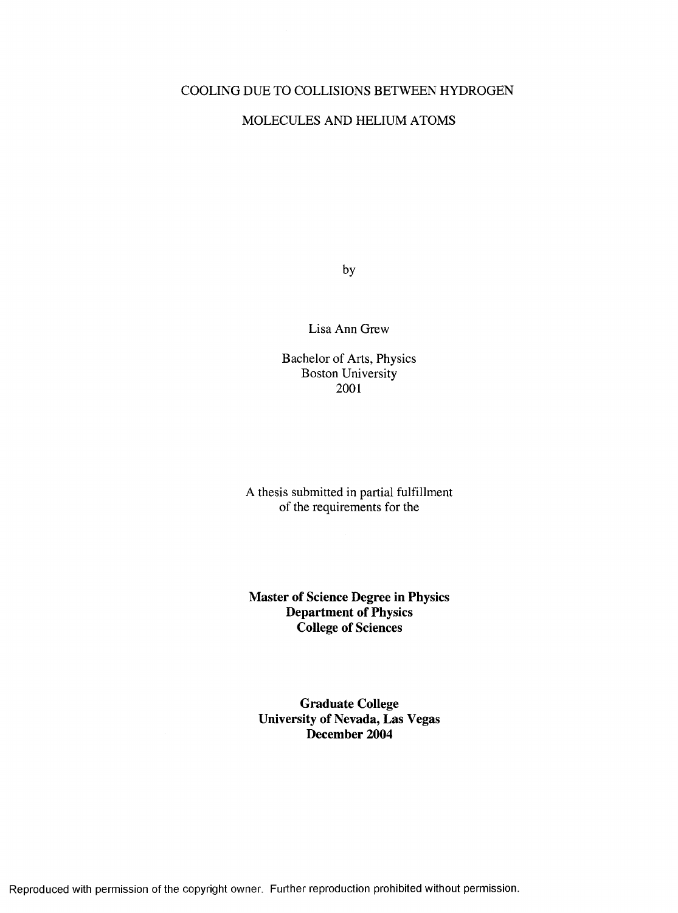# COOLING DUE TO COLLISIONS BETWEEN HYDROGEN

# MOLECULES AND HELIUM ATOMS

by

Lisa Ann Grew

Bachelor of Arts, Physics Boston University 2001

A thesis submitted in partial fulfillment of the requirements for the

**Master of Science Degree in Physics Department of Physics College of Sciences**

**Graduate College University of Nevada, Las Vegas December 2004**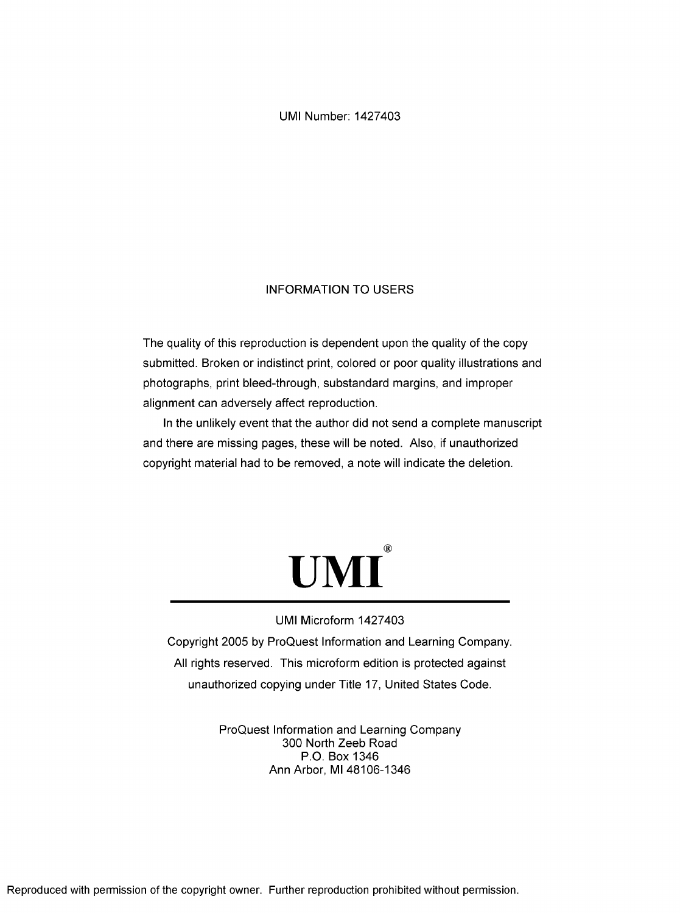UMI Number: 1427403

# INFORMATION TO USERS

The quality of this reproduction is dependent upon the quality of the copy submitted. Broken or indistinct print, colored or poor quality illustrations and photographs, print bleed-through, substandard margins, and improper alignment can adversely affect reproduction.

In the unlikely event that the author did not send a complete manuscript and there are missing pages, these will be noted. Also, if unauthorized copyright material had to be removed, a note will indicate the deletion.



# UMI Microform 1427403

Copyright 2005 by ProQuest Information and Learning Company. All rights reserved. This microform edition is protected against unauthorized copying under Title 17, United States Code.

> ProQuest Information and Learning Company 300 North Zeeb Road P.O. Box 1346 Ann Arbor, Ml 48106-1346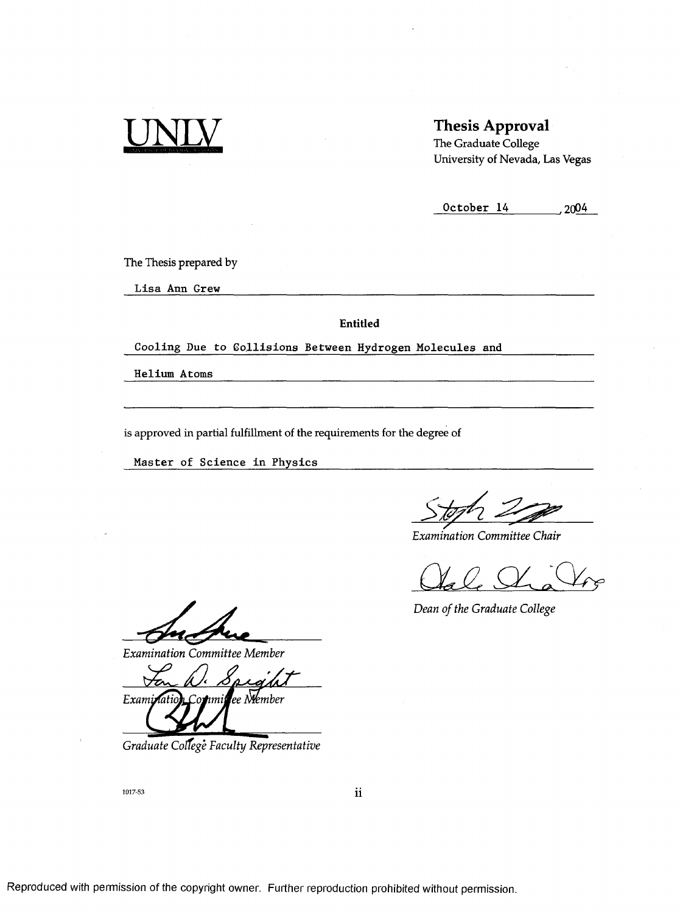

# **Thesis Approval**

**The Graduate College University of Nevada, Las Vegas**

**October 14**  $\qquad \qquad$  2004

**The Thesis prepared by**

**L isa Ann Grew**

**Entitled**

Cooling Due to Gollisions Between Hydrogen Molecules and

**H elium Atoms**

**is approved in partial fulfillment of the requirements for the degree of**

Master of Science in Physics

*Examination Committee Chair*

*Dean of the Graduate College*

*Examination Committee Member*

*Exami* ee Niember

*Graduate Coïïege Faculty Representative*

1017-53

**11**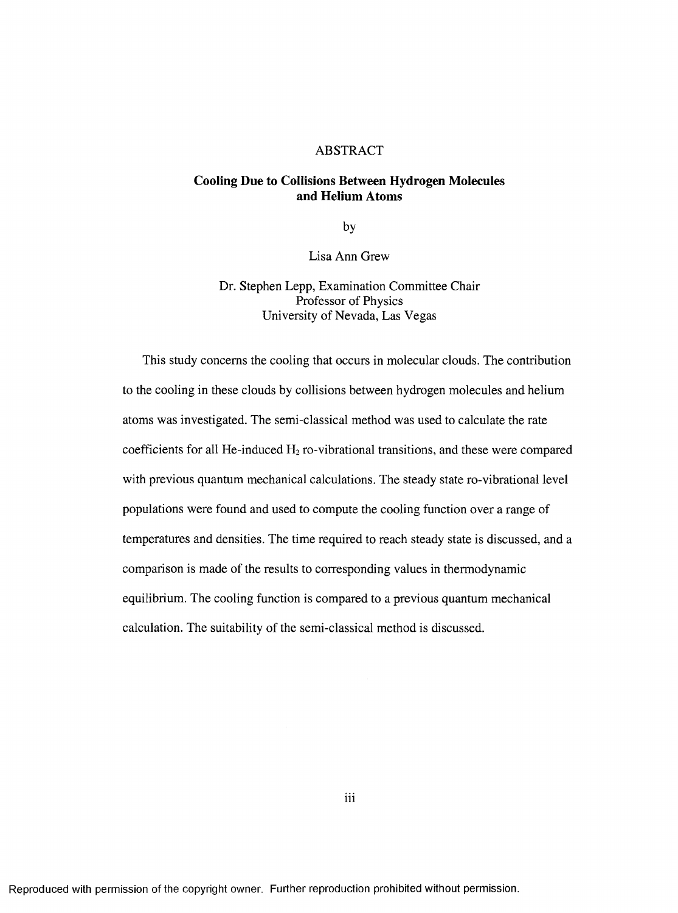#### ABSTRACT

# **Cooling Due to Collisions Between Hydrogen Molecules and Helium Atoms**

by

Lisa Ann Grew

Dr. Stephen Lepp, Examination Committee Chair Professor of Physics University of Nevada, Las Vegas

This study concerns the cooling that occurs in molecular clouds. The contribution to the cooling in these clouds by collisions between hydrogen molecules and helium atoms was investigated. The semi-classical method was used to calculate the rate coefficients for all He-induced  $H_2$  ro-vibrational transitions, and these were compared with previous quantum mechanical calculations. The steady state ro-vibrational level populations were found and used to compute the cooling function over a range of temperatures and densities. The time required to reach steady state is discussed, and a comparison is made of the results to corresponding values in thermodynamic equilibrium. The cooling function is compared to a previous quantum mechanical calculation. The suitability of the semi-classical method is discussed.

**Ill**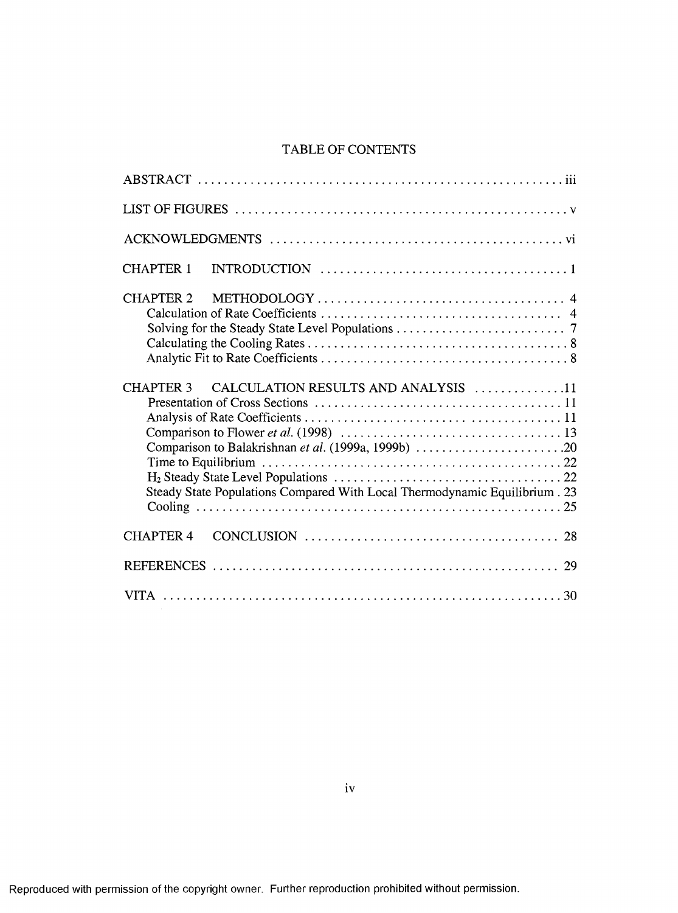# TABLE OF CONTENTS

| <b>CHAPTER 1</b>                                                                                                                                                                                                                                            |
|-------------------------------------------------------------------------------------------------------------------------------------------------------------------------------------------------------------------------------------------------------------|
| <b>CHAPTER 2</b>                                                                                                                                                                                                                                            |
| CHAPTER 3 CALCULATION RESULTS AND ANALYSIS 11<br>Comparison to Flower <i>et al.</i> (1998) $\ldots \ldots \ldots \ldots \ldots \ldots \ldots \ldots \ldots \ldots \ldots$ 13<br>Steady State Populations Compared With Local Thermodynamic Equilibrium . 23 |
| <b>CHAPTER 4</b>                                                                                                                                                                                                                                            |
|                                                                                                                                                                                                                                                             |
|                                                                                                                                                                                                                                                             |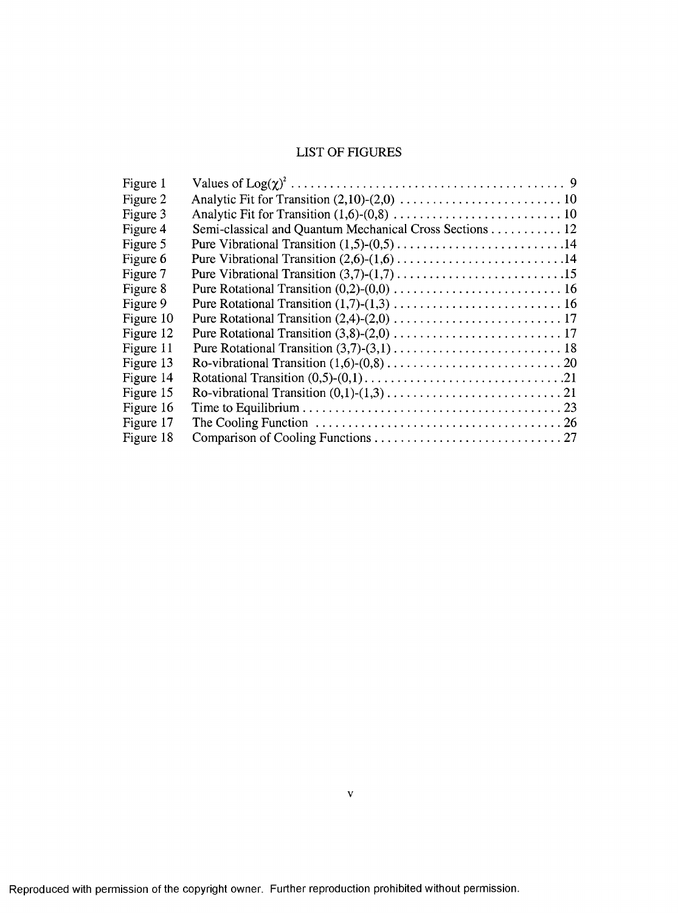# LIST OF FIGURES

| Figure 1  |                                                                                                                      |
|-----------|----------------------------------------------------------------------------------------------------------------------|
| Figure 2  |                                                                                                                      |
| Figure 3  |                                                                                                                      |
| Figure 4  | Semi-classical and Quantum Mechanical Cross Sections 12                                                              |
| Figure 5  |                                                                                                                      |
| Figure 6  |                                                                                                                      |
| Figure 7  |                                                                                                                      |
| Figure 8  |                                                                                                                      |
| Figure 9  |                                                                                                                      |
| Figure 10 |                                                                                                                      |
| Figure 12 |                                                                                                                      |
| Figure 11 |                                                                                                                      |
| Figure 13 |                                                                                                                      |
| Figure 14 |                                                                                                                      |
| Figure 15 |                                                                                                                      |
| Figure 16 |                                                                                                                      |
| Figure 17 | The Cooling Function $\ldots \ldots \ldots \ldots \ldots \ldots \ldots \ldots \ldots \ldots \ldots \ldots \ldots 26$ |
| Figure 18 |                                                                                                                      |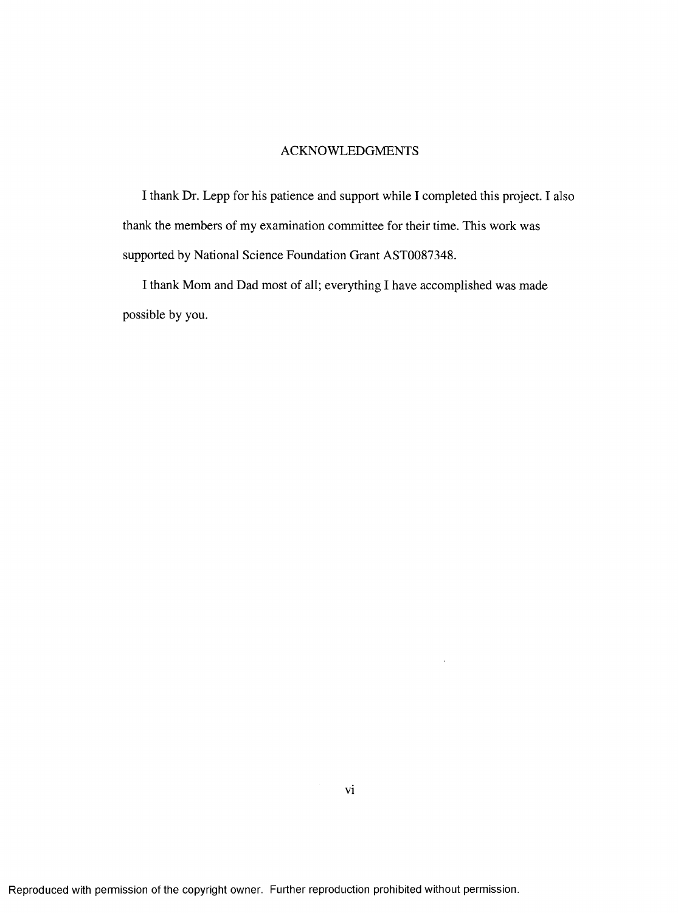# ACKNOWLEDGMENTS

I thank Dr. Lepp for his patience and support while I completed this project. I also thank the members of my examination committee for their time. This work was supported by National Science Foundation Grant AST0087348.

I thank Mom and Dad most of all; everything I have accomplished was made possible by you.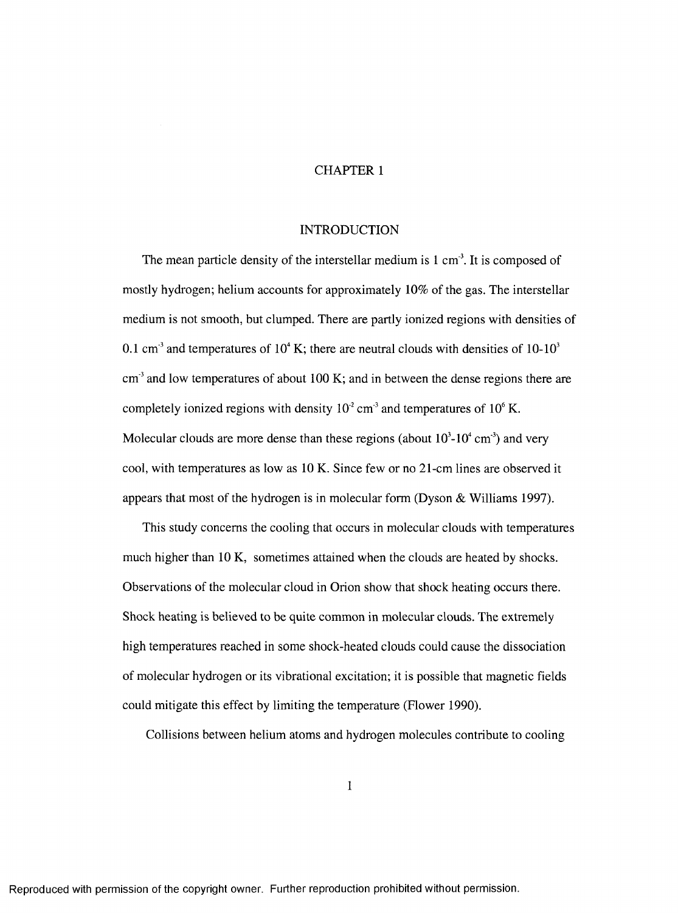# CHAPTER 1

# INTRODUCTION

The mean particle density of the interstellar medium is 1 cm<sup>3</sup>. It is composed of mostly hydrogen; helium accounts for approximately 10% of the gas. The interstellar medium is not smooth, but clumped. There are partly ionized regions with densities of 0.1 cm<sup>3</sup> and temperatures of  $10<sup>4</sup>$  K; there are neutral clouds with densities of 10-10<sup>3</sup>  $cm<sup>3</sup>$  and low temperatures of about 100 K; and in between the dense regions there are completely ionized regions with density  $10^2$  cm<sup>3</sup> and temperatures of  $10^6$  K. Molecular clouds are more dense than these regions (about  $10^3$ - $10^4$  cm<sup>-3</sup>) and very cool, with temperatures as low as 10 K. Since few or no 21-cm lines are observed it appears that most of the hydrogen is in molecular form (Dyson & Williams 1997).

This study concerns the cooling that occurs in molecular clouds with temperatures much higher than 10 K, sometimes attained when the clouds are heated by shocks. Observations of the molecular cloud in Orion show that shock heating occurs there. Shock heating is believed to be quite common in molecular clouds. The extremely high temperatures reached in some shock-heated clouds could cause the dissociation of molecular hydrogen or its vibrational excitation; it is possible that magnetic fields could mitigate this effect by limiting the temperature (Flower 1990).

Collisions between helium atoms and hydrogen molecules contribute to cooling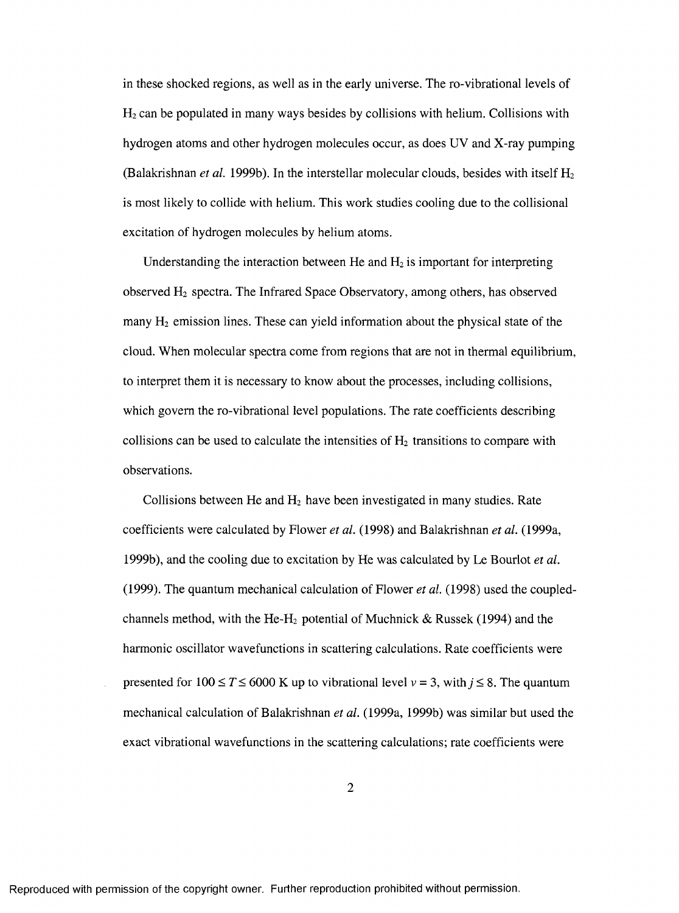in these shocked regions, as well as in the early universe. The ro-vibrational levels of  $H<sub>2</sub>$  can be populated in many ways besides by collisions with helium. Collisions with hydrogen atoms and other hydrogen molecules occur, as does UV and X-ray pumping (Balakrishnan *et al.* 1999b). In the interstellar molecular clouds, besides with itself Hz is most likely to collide with helium. This work studies cooling due to the collisional excitation of hydrogen molecules by helium atoms.

Understanding the interaction between He and  $H_2$  is important for interpreting observed Hz spectra. The Infrared Space Observatory, among others, has observed many  $H_2$  emission lines. These can yield information about the physical state of the cloud. When molecular spectra come from regions that are not in thermal equilibrium, to interpret them it is necessary to know about the processes, including collisions, which govern the ro-vibrational level populations. The rate coefficients describing collisions can be used to calculate the intensities of  $H_2$  transitions to compare with observations.

Collisions between He and  $H_2$  have been investigated in many studies. Rate coefficients were calculated by Flower *et at.* (1998) and Balakrishnan *et al.* (1999a, 1999b), and the cooling due to excitation by He was calculated by Le Bourlot *et al.* (1999). The quantum mechanical calculation of Flower *et al.* (1998) used the coupledchannels method, with the He-H<sub>2</sub> potential of Muchnick & Russek (1994) and the harmonic oscillator wavefunctions in scattering calculations. Rate coefficients were presented for  $100 \le T \le 6000$  K up to vibrational level  $v = 3$ , with  $j \le 8$ . The quantum mechanical calculation of Balakrishnan *et al.* (1999a, 1999b) was similar but used the exact vibrational wavefunctions in the scattering calculations; rate coefficients were

 $\overline{2}$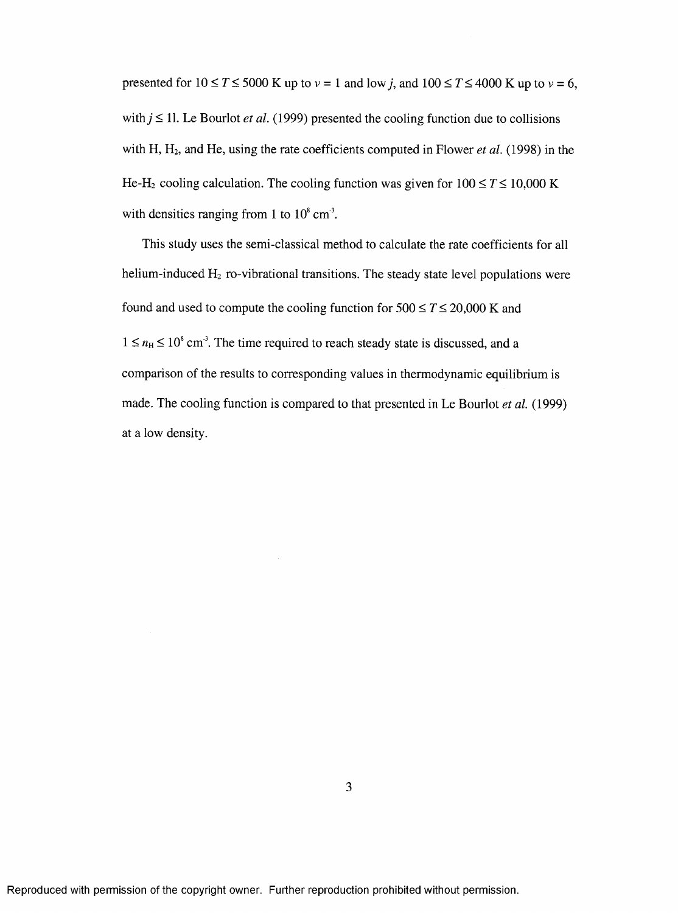presented for  $10 \le T \le 5000$  K up to  $v = 1$  and low *j*, and  $100 \le T \le 4000$  K up to  $v = 6$ , with  $j \leq 11$ . Le Bourlot *et al.* (1999) presented the cooling function due to collisions with H, H<sub>2</sub>, and He, using the rate coefficients computed in Flower *et al.* (1998) in the He-H<sub>2</sub> cooling calculation. The cooling function was given for  $100 \le T \le 10,000$  K with densities ranging from 1 to  $10^8$  cm<sup>3</sup>.

This study uses the semi-classical method to calculate the rate coefficients for all helium-induced  $H_2$  ro-vibrational transitions. The steady state level populations were found and used to compute the cooling function for  $500 \le T \le 20,000$  K and  $1 \le n_H \le 10^8$  cm<sup>3</sup>. The time required to reach steady state is discussed, and a comparison of the results to corresponding values in thermodynamic equilibrium is made. The cooling function is compared to that presented in Le Bourlot *et al.* (1999) at a low density.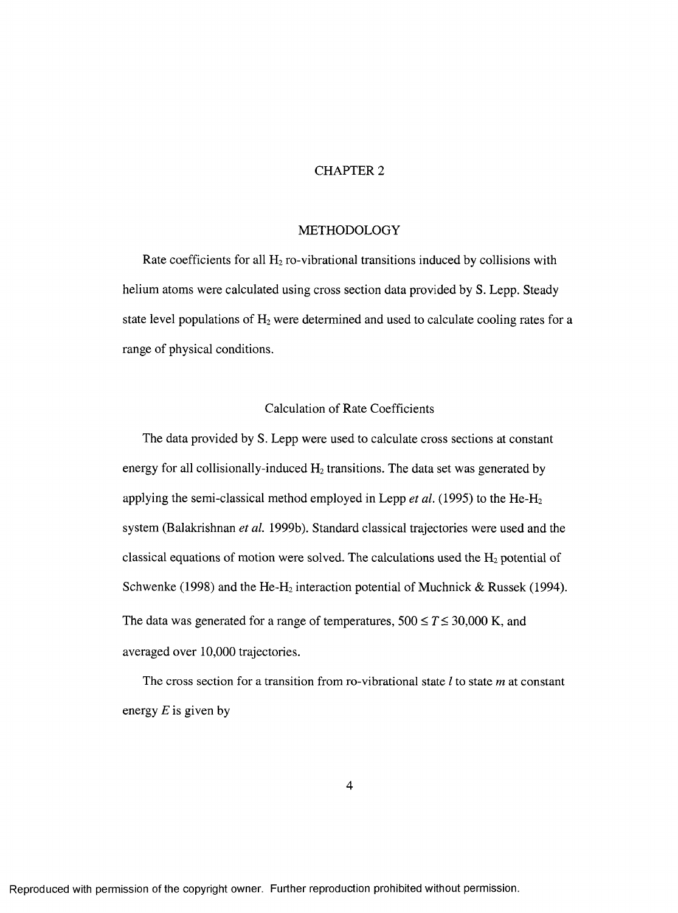# CHAPTER 2

#### METHODOLOGY

Rate coefficients for all  $H_2$  ro-vibrational transitions induced by collisions with helium atoms were calculated using cross section data provided by S. Lepp. Steady state level populations of  $H_2$  were determined and used to calculate cooling rates for a range of physical conditions.

#### Calculation of Rate Coefficients

The data provided by S. Lepp were used to calculate cross sections at constant energy for all collisionally-induced  $H_2$  transitions. The data set was generated by applying the semi-classical method employed in Lepp *et al.* (1995) to the **He-Hz** system (Balakrishnan *et al.* 1999b). Standard classical trajectories were used and the classical equations of motion were solved. The calculations used the  $H_2$  potential of Schwenke (1998) and the He-H<sub>2</sub> interaction potential of Muchnick & Russek (1994). The data was generated for a range of temperatures,  $500 \le T \le 30,000$  K, and averaged over 10,000 trajectories.

The cross section for a transition from ro-vibrational state *I* to state *m* at constant energy *E* is given by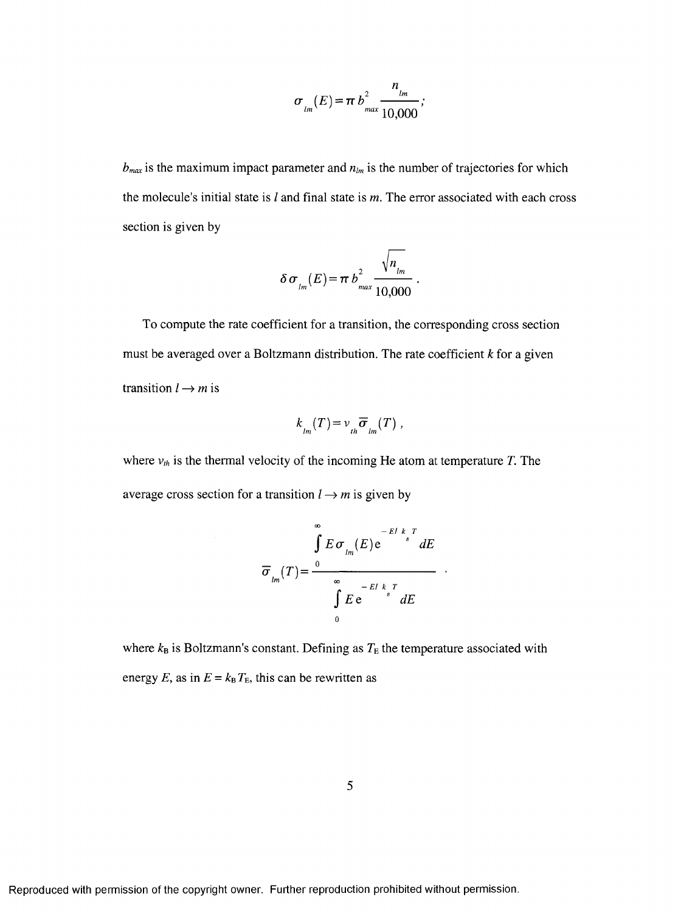$$
\sigma_{lm}(E) = \pi b_{max}^2 \frac{n_{lm}}{10,000};
$$

 $b_{max}$  is the maximum impact parameter and  $n_{lm}$  is the number of trajectories for which the molecule's initial state is / and final state is *m.* The error associated with each cross section is given by

$$
\delta \sigma_{lm}(E) = \pi b_{max}^2 \frac{\sqrt{n_{lm}}}{10,000}
$$

To compute the rate coefficient for a transition, the corresponding cross section must be averaged over a Boltzmann distribution. The rate coefficient *k* for a given transition  $l \rightarrow m$  is

$$
k_{lm}(T) = v_{lh} \overline{\sigma}_{lm}(T) ,
$$

where  $v_{th}$  is the thermal velocity of the incoming He atom at temperature *T*. The average cross section for a transition  $l \rightarrow m$  is given by

$$
\overline{\sigma}_{lm}(T) = \frac{\int_{0}^{\infty} E \sigma_{lm}(E) e^{-EI k_{B} T} dE}{\int_{0}^{\infty} E e^{-EI k_{B} T} dE}
$$

 $\sim$ 

where  $k_B$  is Boltzmann's constant. Defining as  $T_E$  the temperature associated with energy *E*, as in  $E = k_B T_E$ , this can be rewritten as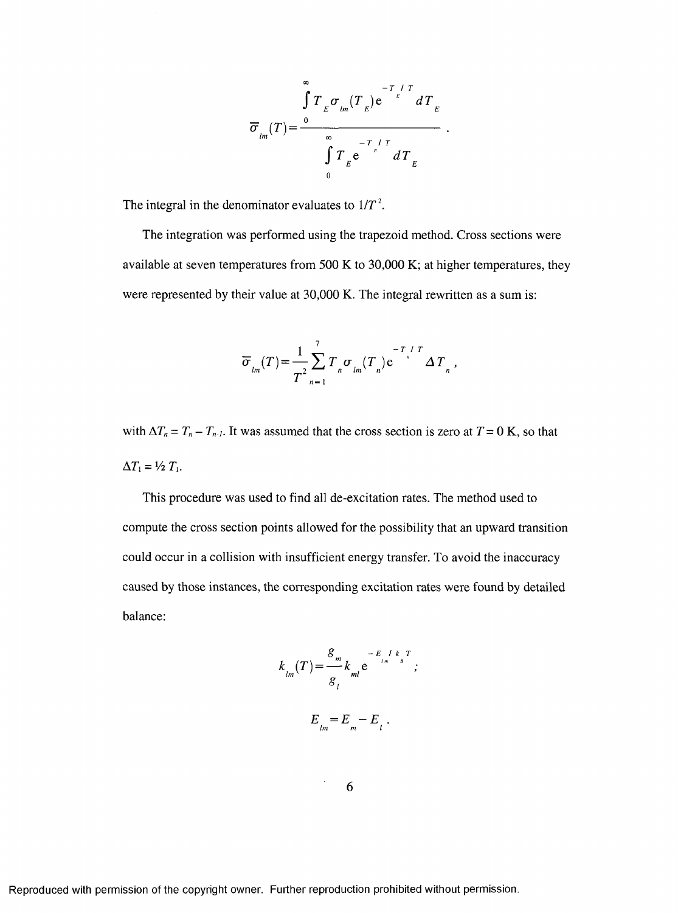$$
\overline{\sigma}_{lm}(T) = \frac{\int_{0}^{\infty} T_{E} \sigma_{lm}(T_{E}) e^{-\frac{T_{l}/T}{E}} dT_{E}}{\int_{0}^{\infty} T_{E} e^{-\frac{T_{l}/T}{E}} dT_{E}}
$$

The integral in the denominator evaluates to  $1/T^2$ .

The integration was performed using the trapezoid method. Cross sections were available at seven temperatures from 500 K to 30,000 K; at higher temperatures, they were represented by their value at 30,000 K. The integral rewritten as a sum is:

$$
\overline{\sigma}_{lm}(T) = \frac{1}{T^2} \sum_{n=1}^{T} T_n \sigma_{lm}(T_n) e^{-T/T} \Delta T_n,
$$

with  $\Delta T_n = T_n - T_{n-1}$ . It was assumed that the cross section is zero at  $T = 0$  K, so that  $\Delta T_1 = \frac{1}{2} T_1$ .

This procedure was used to find all de-excitation rates. The method used to compute the cross section points allowed for the possibility that an upward transition could occur in a collision with insufficient energy transfer. To avoid the inaccuracy caused by those instances, the corresponding excitation rates were found by detailed balance:

$$
k_{lm}(T) = \frac{g_m}{g_l} k_{ml} e^{-\frac{E_l}{l_m} / k_{B} T} ;
$$
  

$$
E_{lm} = E_m - E_l .
$$

6

 $\bar{.}$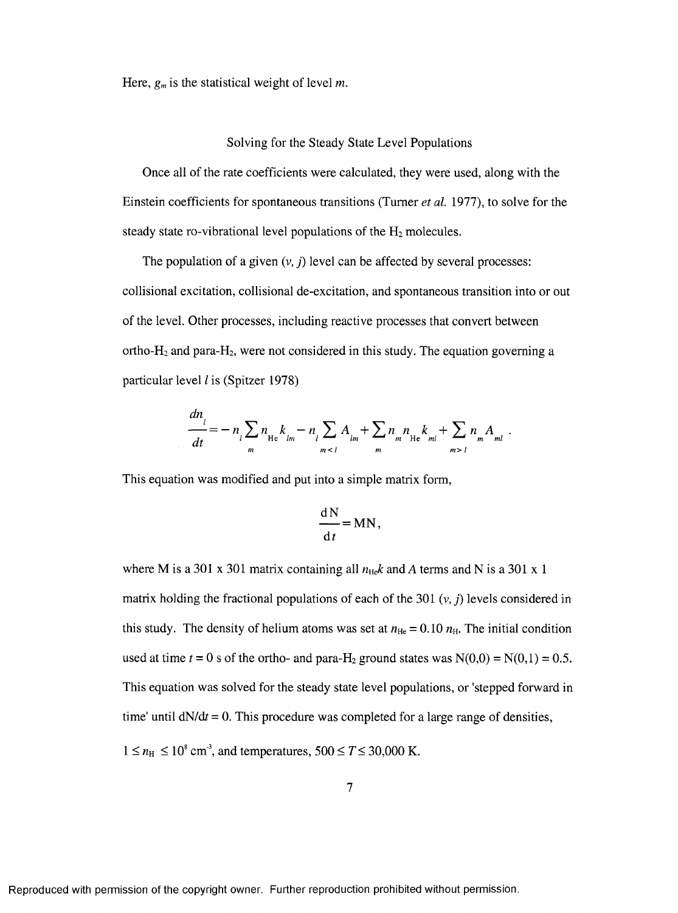Here, *gm* is the statistical weight of level *m.*

#### Solving for the Steady State Level Populations

Once all of the rate coefficients were calculated, they were used, along with the Einstein coefficients for spontaneous transitions (Turner *et al.* 1977), to solve for the steady state ro-vibrational level populations of the  $H_2$  molecules.

The population of a given  $(v, j)$  level can be affected by several processes: collisional excitation, collisional de-excitation, and spontaneous transition into or out of the level. Other processes, including reactive processes that convert between ortho- $H_2$  and para- $H_2$ , were not considered in this study. The equation governing a particular level *I* is (Spitzer 1978)

$$
\frac{dn_{l}}{dt} = -n_{l} \sum_{m} n_{He} k_{lm} - n_{l} \sum_{m < l} A_{lm} + \sum_{m} n_{m} n_{He} k_{ml} + \sum_{m > l} n_{m} A_{ml}.
$$

This equation was modified and put into a simple matrix form,

$$
\frac{\mathrm{d}N}{\mathrm{d}t} = MN,
$$

where M is a 301 x 301 matrix containing all  $n_{\text{He}}k$  and A terms and N is a 301 x 1 matrix holding the fractional populations of each of the 301 (v, *j)* levels considered in this study. The density of helium atoms was set at  $n_{\text{He}} = 0.10 n_{\text{H}}$ . The initial condition used at time  $t = 0$  s of the ortho- and para-H<sub>2</sub> ground states was  $N(0,0) = N(0,1) = 0.5$ . This equation was solved for the steady state level populations, or 'stepped forward in time' until  $dN/dt = 0$ . This procedure was completed for a large range of densities,  $1 \le n_{\text{H}} \le 10^8$  cm<sup>3</sup>, and temperatures,  $500 \le T \le 30,000$  K.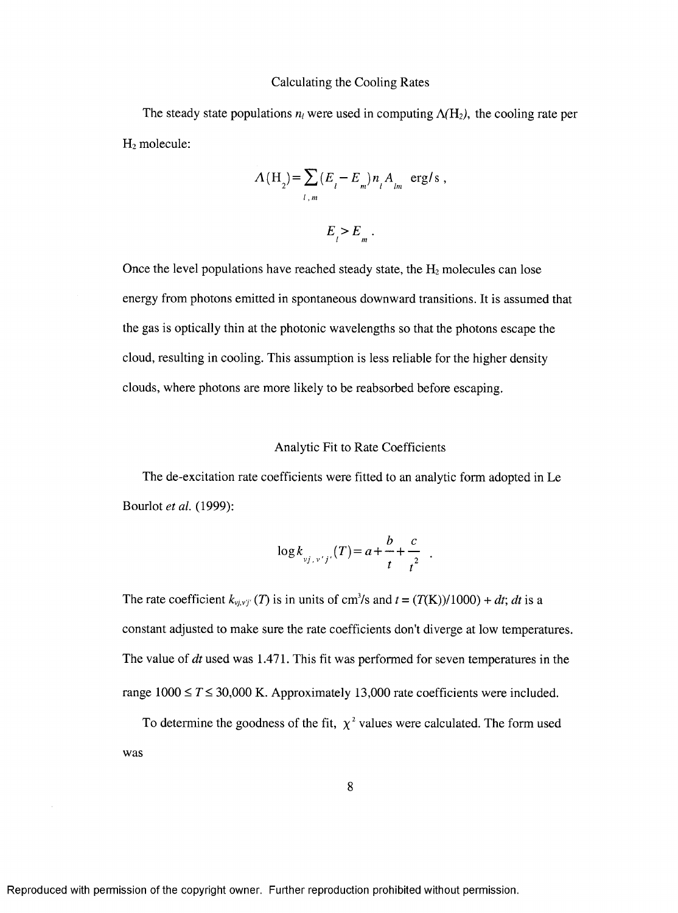#### Calculating the Cooling Rates

The steady state populations  $n_l$  were used in computing  $\Lambda(H_2)$ , the cooling rate per  $H_2$  molecule:

$$
A(H_2) = \sum_{l,m} (E_l - E_m) n_l A_{lm} \text{ erg/s},
$$
  

$$
E_l > E_m.
$$

Once the level populations have reached steady state, the  $H_2$  molecules can lose energy from photons emitted in spontaneous downward transitions. It is assumed that the gas is optically thin at the photonic wavelengths so that the photons escape the cloud, resulting in cooling. This assumption is less reliable for the higher density clouds, where photons are more likely to be reabsorbed before escaping.

#### Analytic Fit to Rate Coefficients

The de-excitation rate coefficients were fitted to an analytic form adopted in Le Bourlot *et al.* (1999):

$$
\log k_{\nu j, \nu' j'}(T) = a + \frac{b}{t} + \frac{c}{t^2} .
$$

The rate coefficient  $k_{y_j, y_j'}(T)$  is in units of cm<sup>3</sup>/s and  $t = (T(K))/1000) + dt$ ; *dt* is a constant adjusted to make sure the rate coefficients don't diverge at low temperatures. The value of *dt* used was 1.471. This fit was performed for seven temperatures in the range  $1000 \le T \le 30,000$  K. Approximately 13,000 rate coefficients were included.

To determine the goodness of the fit,  $\chi^2$  values were calculated. The form used was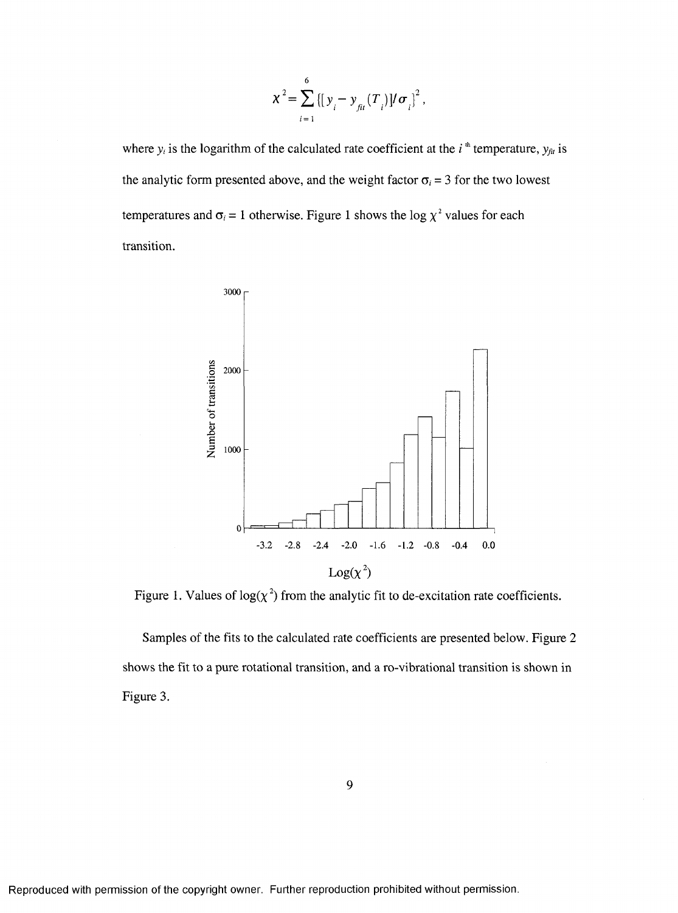$$
\chi^{2} = \sum_{i=1}^{6} \{ [y_{i} - y_{fi}(T_{i})] / \sigma_{i} \}^{2},
$$

where  $y_i$  is the logarithm of the calculated rate coefficient at the  $i^*$  temperature,  $y_{\text{fit}}$  is the analytic form presented above, and the weight factor  $\sigma_i = 3$  for the two lowest temperatures and  $\sigma_i = 1$  otherwise. Figure 1 shows the log  $\chi^2$  values for each transition.



Figure 1. Values of  $log(\chi^2)$  from the analytic fit to de-excitation rate coefficients.

Samples of the fits to the calculated rate coefficients are presented below. Figure 2 shows the fit to a pure rotational transition, and a ro-vibrational transition is shown in Figure 3.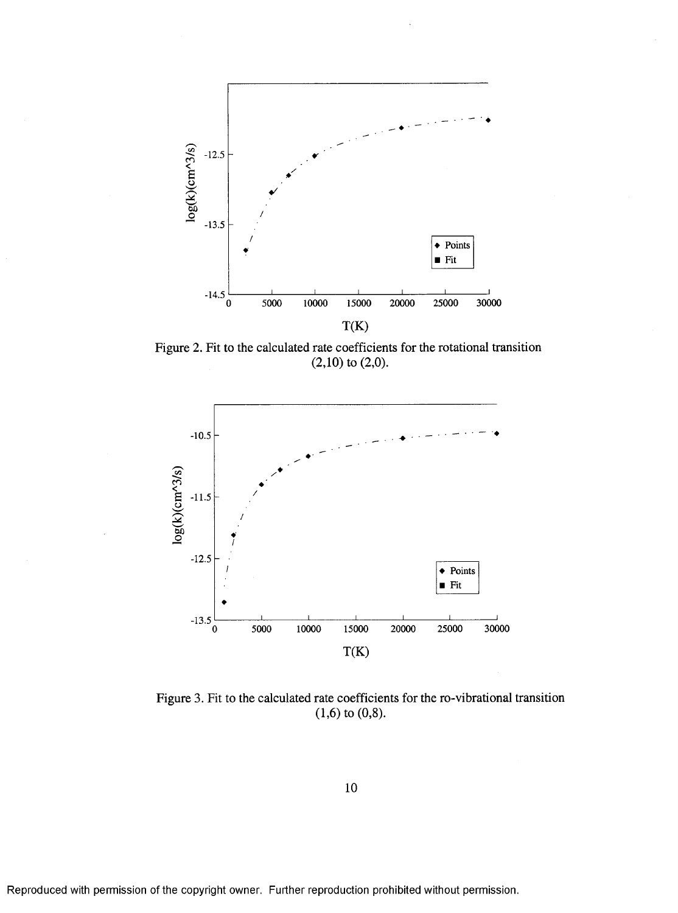

Figure 2. Fit to the calculated rate coefficients for the rotational transition  $(2,10)$  to  $(2,0)$ .



Figure 3. Fit to the calculated rate coefficients for the ro-vibrational transition  $(1,6)$  to  $(0,8)$ .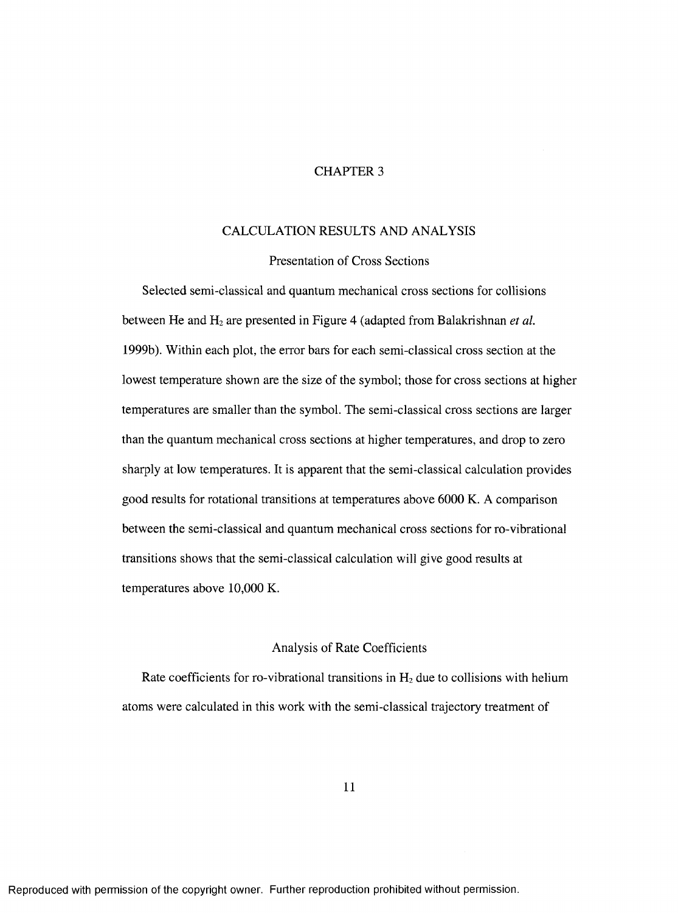#### CHAPTER 3

# CALCULATION RESULTS AND ANALYSIS

# Presentation of Cross Sections

Selected semi-classical and quantum mechanical cross sections for collisions between He and H<sub>2</sub> are presented in Figure 4 (adapted from Balakrishnan *et al.*) 1999b). Within each plot, the error bars for each semi-classical cross section at the lowest temperature shown are the size of the symbol; those for cross sections at higher temperatures are smaller than the symbol. The semi-classical cross sections are larger than the quantum mechanical cross sections at higher temperatures, and drop to zero sharply at low temperatures. It is apparent that the semi-classical calculation provides good results for rotational transitions at temperatures above 6000 K. A comparison between the semi-classical and quantum mechanical cross sections for ro-vibrational transitions shows that the semi-classical calculation will give good results at temperatures above 10,000 K.

#### Analysis of Rate Coefficients

Rate coefficients for ro-vibrational transitions in  $H_2$  due to collisions with helium atoms were calculated in this work with the semi-classical trajectory treatment of

11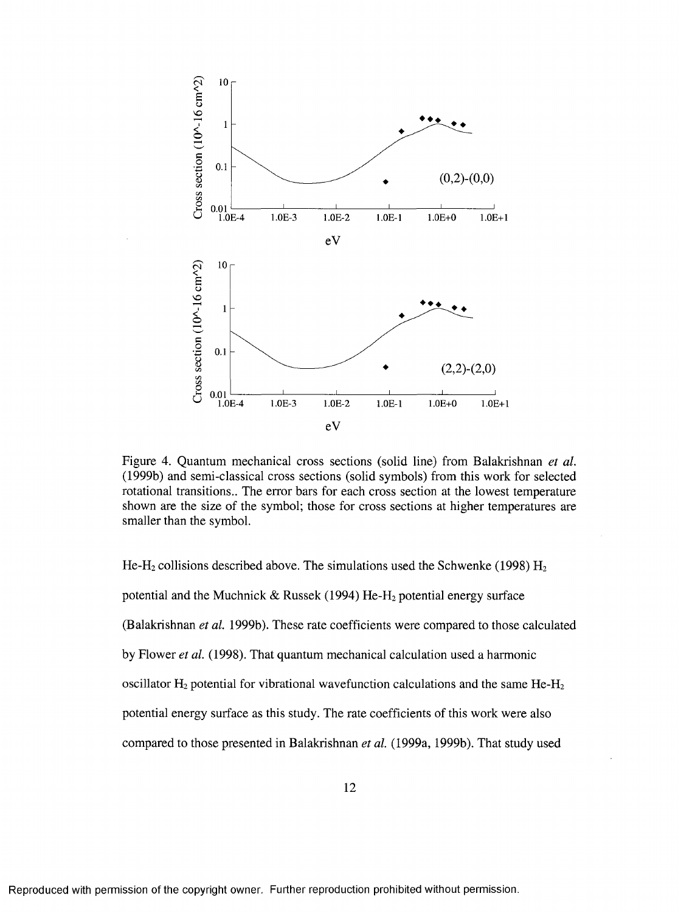

Figure 4. Quantum mechanical cross sections (solid line) from Balakrishnan *et al.* (1999b) and scmi-classical cross sections (solid symbols) from this work for selected rotational transitions.. The error bars for each cross section at the lowest temperature shown are the size of the symbol; those for cross sections at higher temperatures are smaller than the symbol.

He-H<sub>2</sub> collisions described above. The simulations used the Schwenke (1998)  $H_2$ potential and the Muchnick & Russek (1994) He-H<sub>2</sub> potential energy surface (Balakrishnan *et al.* 1999b). These rate coefficients were compared to those calculated by Flower *et al.* (1998). That quantum mechanical calculation used a harmonic oscillator **Hz** potential for vibrational wavefunction calculations and the same **He-Hz** potential energy surface as this study. The rate coefficients of this work were also compared to those presented in Balakrishnan *et al.* (1999a, 1999b). That study used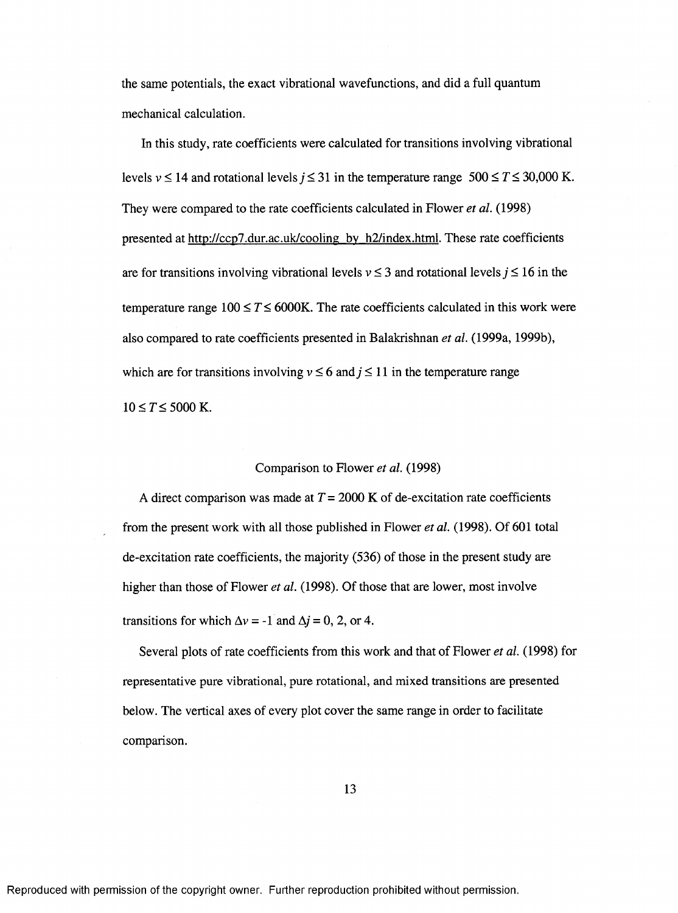the same potentials, the exact vibrational wavefunctions, and did a full quantum mechanical calculation.

In this study, rate coefficients were calculated for transitions involving vibrational levels  $v \le 14$  and rotational levels  $j \le 31$  in the temperature range  $500 \le T \le 30,000$  K. They were compared to the rate coefficients calculated in Flower *et al.* (1998) presented at http://ccp7.dur.ac.uk/cooling by h2/index.html. These rate coefficients are for transitions involving vibrational levels  $v \le 3$  and rotational levels  $j \le 16$  in the temperature range  $100 \le T \le 6000$ K. The rate coefficients calculated in this work were also compared to rate coefficients presented in Balakrishnan *et al.* (1999a, 1999b), which are for transitions involving  $v \le 6$  and  $j \le 11$  in the temperature range  $10 \le T \le 5000$  K.

#### Comparison to Flower *et al.* (1998)

A direct comparison was made at  $T = 2000$  K of de-excitation rate coefficients from the present work with all those published in Flower *et al.* (1998). Of 601 total de-excitation rate coefficients, the majority (536) of those in the present study are higher than those of Flower *et al.* (1998). Of those that are lower, most involve transitions for which  $\Delta v = -1$  and  $\Delta j = 0, 2,$  or 4.

Several plots of rate coefficients from this work and that of Flower *et al.* (1998) for representative pure vibrational, pure rotational, and mixed transitions are presented below. The vertical axes of every plot cover the same range in order to facilitate comparison.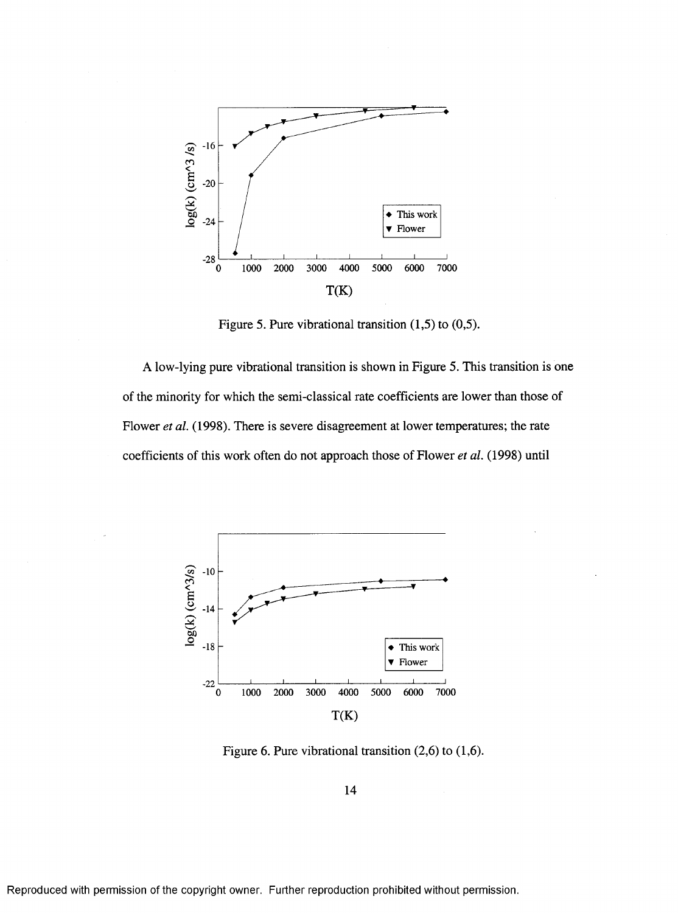

Figure 5. Pure vibrational transition  $(1,5)$  to  $(0,5)$ .

A low-lying pure vibrational transition is shown in Figure 5. This transition is one of the minority for which the semi-classical rate coefficients are lower than those of Flower *et al.* (1998). There is severe disagreement at lower temperatures; the rate coefficients of this work often do not approach those of Flower *et al.* (1998) until



Figure 6. Pure vibrational transition  $(2,6)$  to  $(1,6)$ .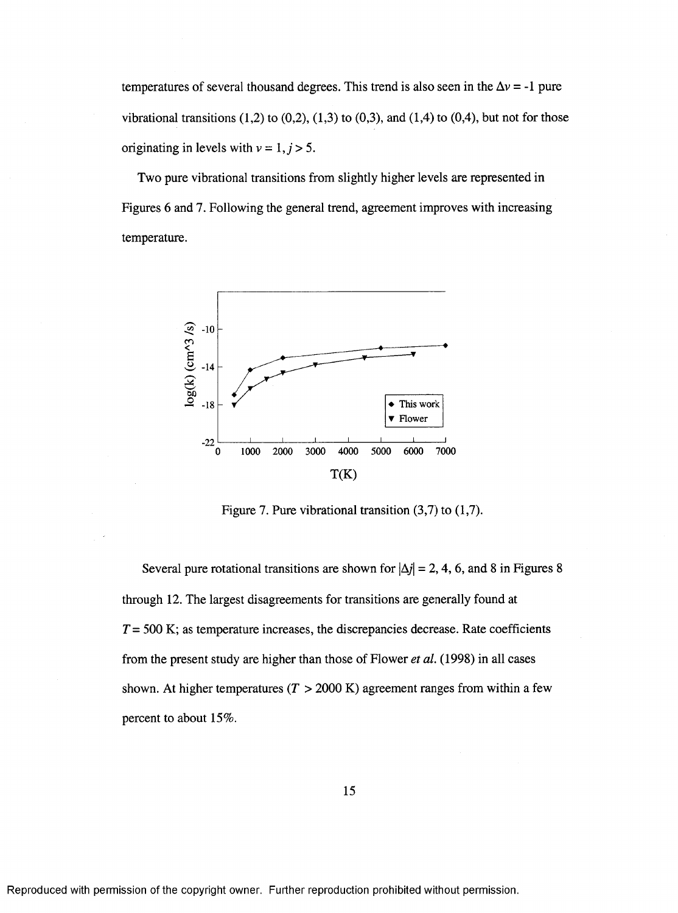temperatures of several thousand degrees. This trend is also seen in the  $\Delta v = -1$  pure vibrational transitions  $(1,2)$  to  $(0,2)$ ,  $(1,3)$  to  $(0,3)$ , and  $(1,4)$  to  $(0,4)$ , but not for those originating in levels with  $v = 1, j > 5$ .

Two pure vibrational transitions from slightly higher levels are represented in Figures 6 and 7. Following the general trend, agreement improves with increasing temperature.



Figure 7. Pure vibrational transition (3,7) to (1,7).

Several pure rotational transitions are shown for  $|\Delta j| = 2, 4, 6$ , and 8 in Figures 8 through 12. The largest disagreements for transitions are generally found at *T* = 500 K; as temperature increases, the discrepancies decrease. Rate coefficients from the present study are higher than those of Flower *et al.* (1998) in all eases shown. At higher temperatures  $(T > 2000 \text{ K})$  agreement ranges from within a few percent to about 15%.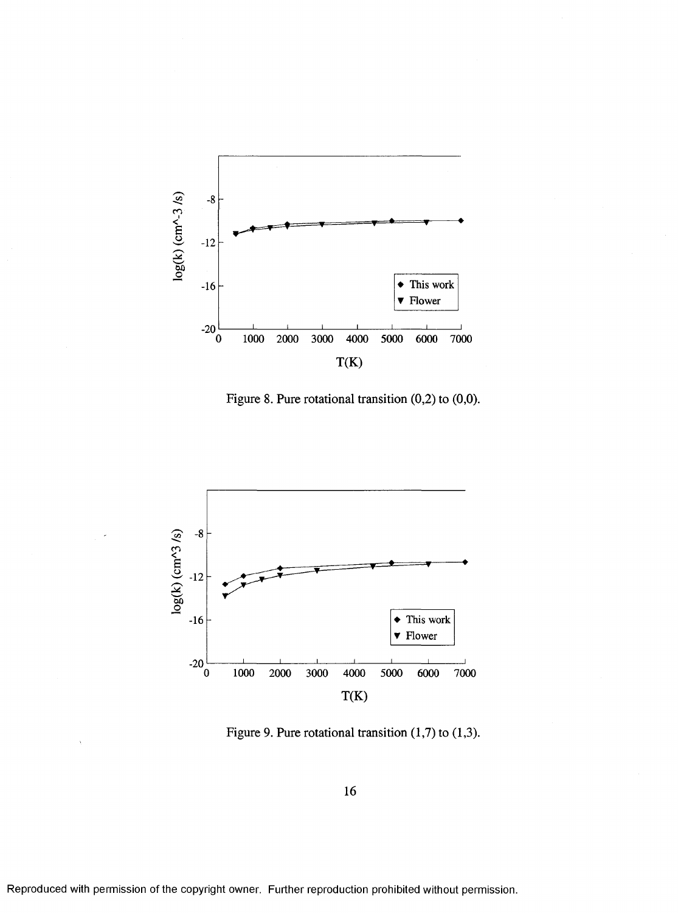

Figure 8. Pure rotational transition  $(0,2)$  to  $(0,0)$ .



Figure 9. Pure rotational transition (1,7) to (1,3).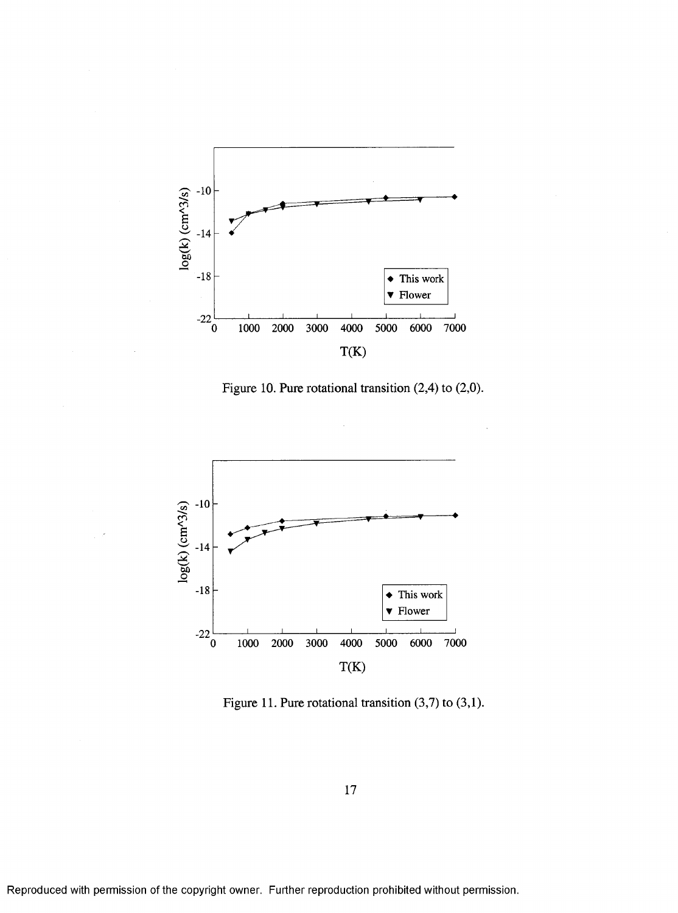

Figure 10. Pure rotational transition (2,4) to (2,0).



Figure 11. Pure rotational transition (3,7) to (3,1).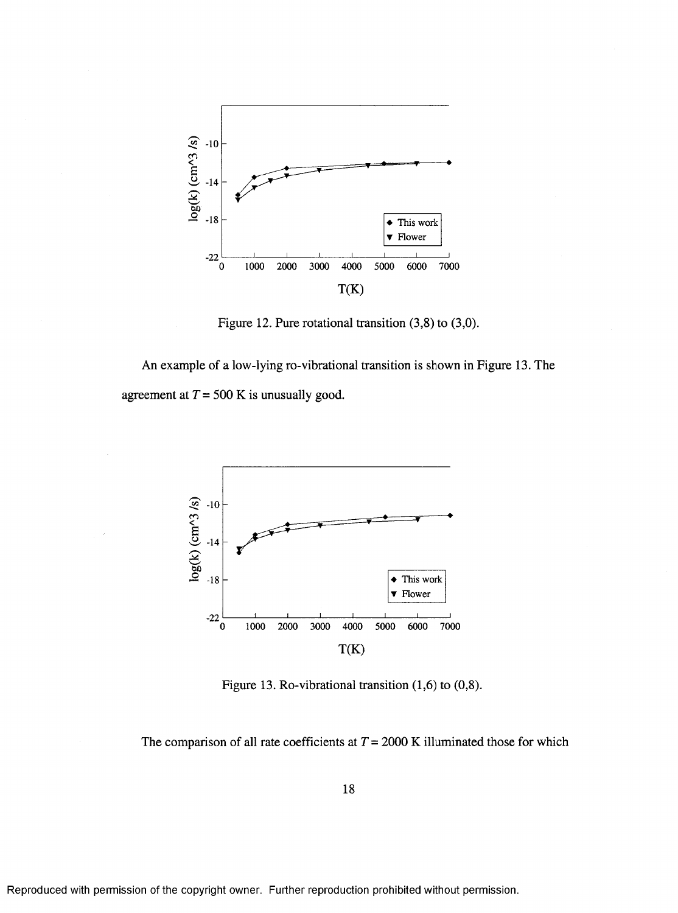

Figure 12. Pure rotational transition (3,8) to (3,0).

An example of a low-lying ro-vibrational transition is shown in Figure 13. The agreement at  $T = 500$  K is unusually good.



Figure 13. Ro-vibrational transition (1,6) to (0,8).

The comparison of all rate coefficients at  $T = 2000$  K illuminated those for which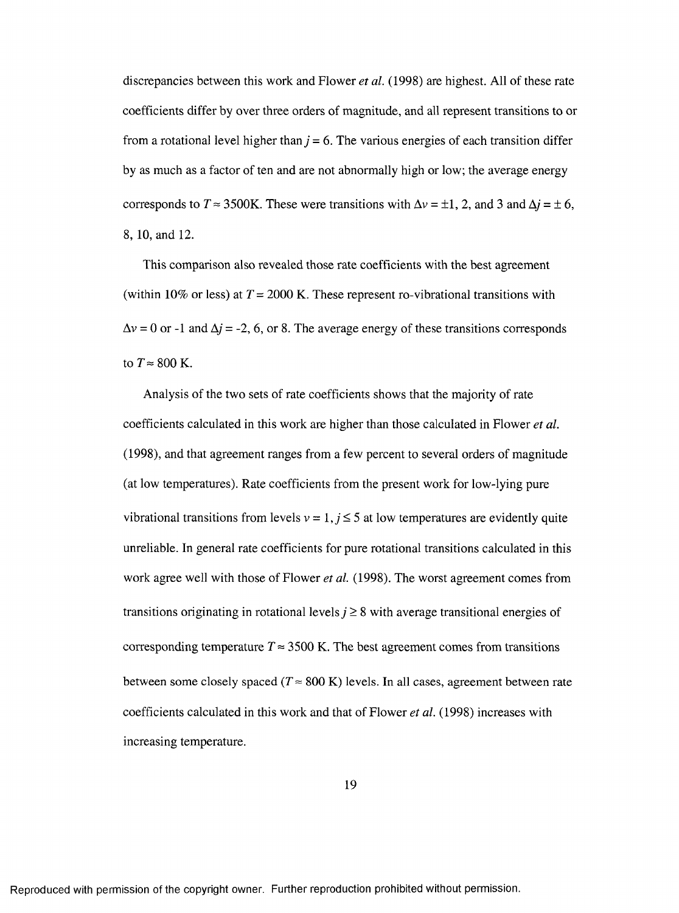discrepancies between this work and Flower *et al.* (1998) are highest. All of these rate coefficients differ by over three orders of magnitude, and all represent transitions to or from a rotational level higher than  $j = 6$ . The various energies of each transition differ by as much as a factor of ten and are not abnormally high or low; the average energy corresponds to  $T \approx 3500$ K. These were transitions with  $\Delta v = \pm 1$ , 2, and 3 and  $\Delta i = \pm 6$ , 8, 10, and 12.

This comparison also revealed those rate coefficients with the best agreement (within 10% or less) at  $T = 2000$  K. These represent ro-vibrational transitions with  $\Delta v = 0$  or -1 and  $\Delta j = -2$ , 6, or 8. The average energy of these transitions corresponds to  $T \approx 800$  K.

Analysis of the two sets of rate coefficients shows that the majority of rate coefficients calculated in this work are higher than those calculated in Flower *et al.* (1998), and that agreement ranges from a few percent to several orders of magnitude (at low temperatures). Rate coefficients from the present work for low-lying pure vibrational transitions from levels  $v = 1, j \le 5$  at low temperatures are evidently quite unreliable. In general rate coefficients for pure rotational transitions calculated in this work agree well with those of Flower *et al.* (1998). The worst agreement comes from transitions originating in rotational levels  $j \geq 8$  with average transitional energies of corresponding temperature  $T \approx 3500$  K. The best agreement comes from transitions between some closely spaced ( $T \approx 800 \text{ K}$ ) levels. In all cases, agreement between rate coefficients calculated in this work and that of Flower *et al.* (1998) increases with increasing temperature.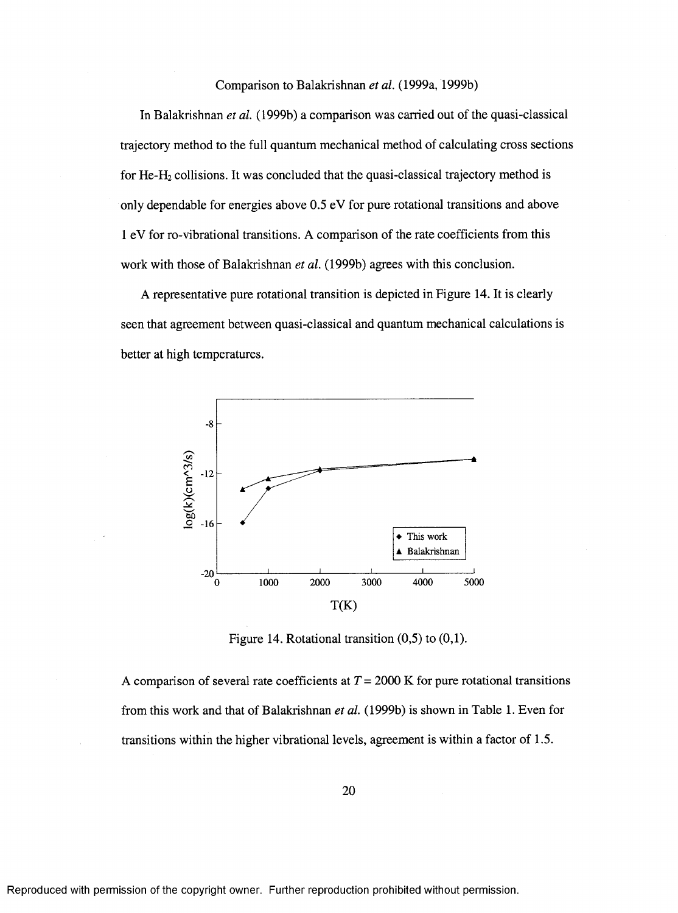#### Comparison to Balakrishnan *et al.* (1999a, 1999b)

In Balakrishnan *et al.* (1999b) a comparison was carried out of the quasi-classical trajectory method to the full quantum mechanical method of calculating cross sections for He-H2 collisions. It was concluded that the quasi-classical trajectory method is only dependable for energies above 0.5 eV for pure rotational transitions and above 1 eV for ro-vibrational transitions. A comparison of the rate coefficients from this work with those of Balakrishnan *et al.* (1999b) agrees with this conclusion.

A representative pure rotational transition is depicted in Figure 14. It is clearly seen that agreement between quasi-classical and quantum mechanical calculations is better at high temperatures.



Figure 14. Rotational transition  $(0,5)$  to  $(0,1)$ .

A comparison of several rate coefficients *a tT =* 2000 K for pure rotational transitions from this work and that of Balakrishnan *et al.* (1999b) is shown in Table 1. Even for transitions within the higher vibrational levels, agreement is within a factor of 1.5.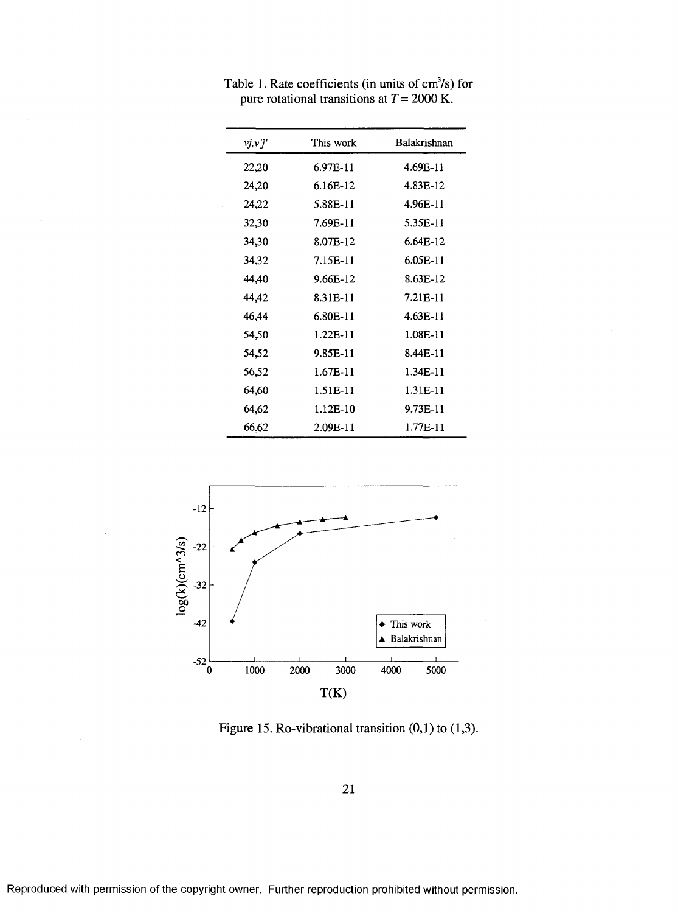| vj, v'j' | This work  | Balakrishnan |
|----------|------------|--------------|
| 22,20    | 6.97E-11   | 4.69E-11     |
| 24,20    | 6.16E-12   | 4.83E-12     |
| 24,22    | 5.88E-11   | 4.96E-11     |
| 32,30    | 7.69E-11   | 5.35E-11     |
| 34,30    | 8.07E-12   | $6.64E-12$   |
| 34,32    | 7.15E-11   | 6.05E-11     |
| 44,40    | 9.66E-12   | 8.63E-12     |
| 44,42    | 8.31E-11   | 7.21E-11     |
| 46,44    | 6.80E-11   | 4.63E-11     |
| 54,50    | $1.22E-11$ | 1.08E-11     |
| 54,52    | 9.85E-11   | 8.44E-11     |
| 56,52    | $1.67E-11$ | 1.34E-11     |
| 64,60    | 1.51E-11   | 1.31E-11     |
| 64,62    | 1.12E-10   | 9.73E-11     |
| 66,62    | 2.09E-11   | $1.77E-11$   |

Table 1. Rate coefficients (in units of  $cm<sup>3</sup>/s$ ) for pure rotational transitions at  $T = 2000 \text{ K.}$ 



Figure 15. Ro-vibrational transition  $(0,1)$  to  $(1,3)$ .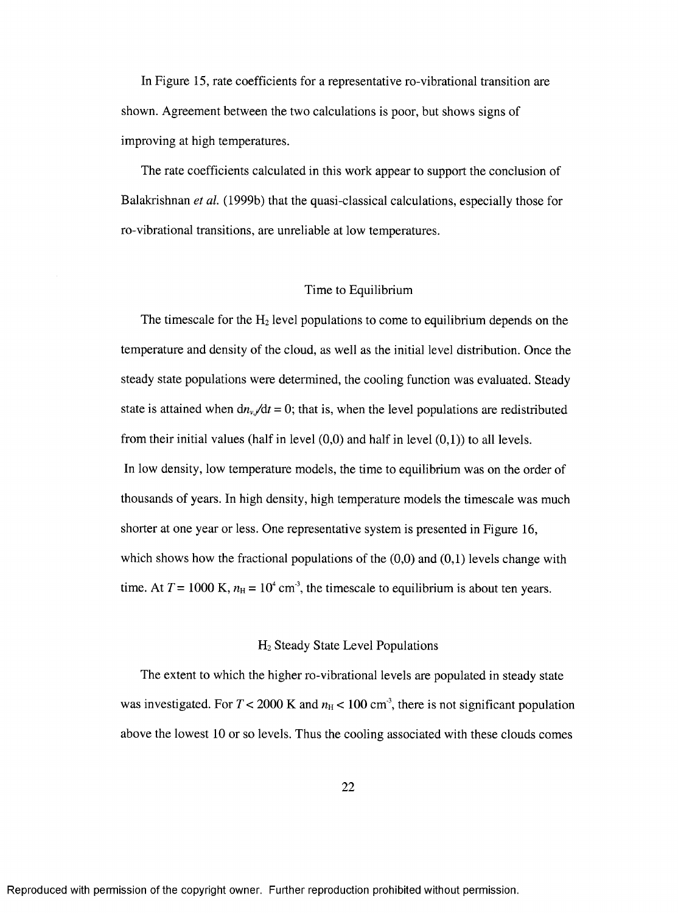In Figure 15, rate coefficients for a representative ro-vibrational transition are shown. Agreement between the two calculations is poor, but shows signs of improving at high temperatures.

The rate coefficients calculated in this work appear to support the conclusion of Balakrishnan *et al.* (1999b) that the quasi-classical calculations, especially those for ro-vibrational transitions, are unreliable at low temperatures.

#### Time to Equilibrium

The timescale for the  $H_2$  level populations to come to equilibrium depends on the temperature and density of the cloud, as well as the initial level distribution. Once the steady state populations were determined, the cooling function was evaluated. Steady state is attained when  $\frac{dn_{v}}{dt} = 0$ ; that is, when the level populations are redistributed from their initial values (half in level  $(0,0)$  and half in level  $(0,1)$ ) to all levels. In low density, low temperature models, the time to equilibrium was on the order of thousands of years. In high density, high temperature models the timescale was much shorter at one year or less. One representative system is presented in Figure 16, which shows how the fractional populations of the  $(0,0)$  and  $(0,1)$  levels change with time. At  $T = 1000 \text{ K}$ ,  $n_H = 10^4 \text{ cm}^3$ , the timescale to equilibrium is about ten years.

#### Hz Steady State Level Populations

The extent to which the higher ro-vibrational levels are populated in steady state was investigated. For  $T < 2000$  K and  $n_H < 100$  cm<sup>3</sup>, there is not significant population above the lowest 10 or so levels. Thus the cooling associated with these clouds comes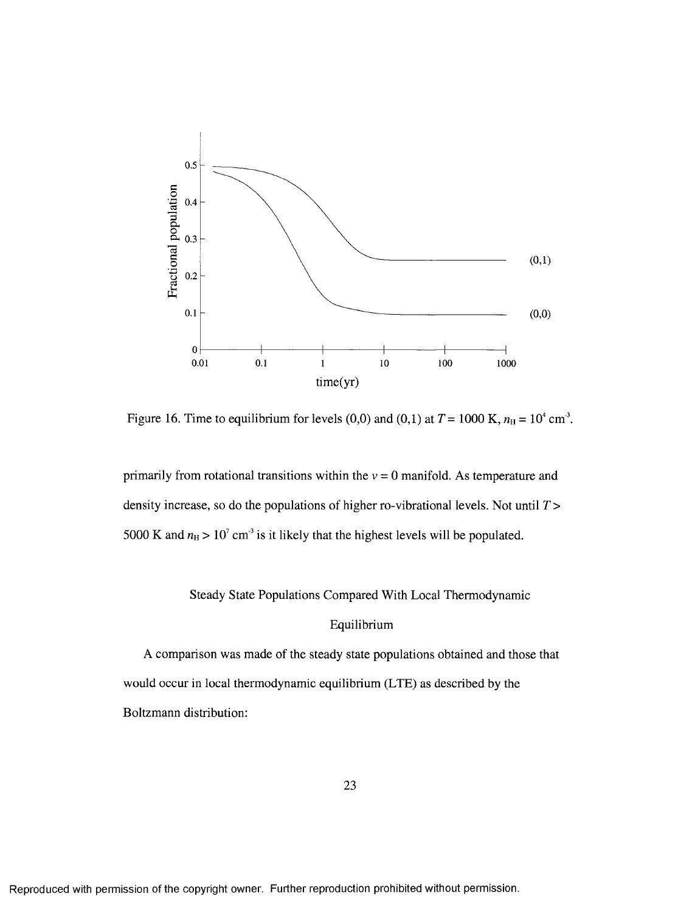

Figure 16. Time to equilibrium for levels (0,0) and (0,1) at  $T = 1000$  K,  $n_H = 10^4$  cm<sup>-3</sup>.

primarily from rotational transitions within the  $v = 0$  manifold. As temperature and density increase, so do the populations of higher ro-vibrational levels. Not until *T >* 5000 K and  $n_H > 10^7$  cm<sup>3</sup> is it likely that the highest levels will be populated.

# Steady State Populations Compared With Local Thermodynamic

#### Equilibrium

A comparison was made of the steady state populations obtained and those that would occur in local thermodynamic equilibrium (LTE) as described by the Boltzmann distribution: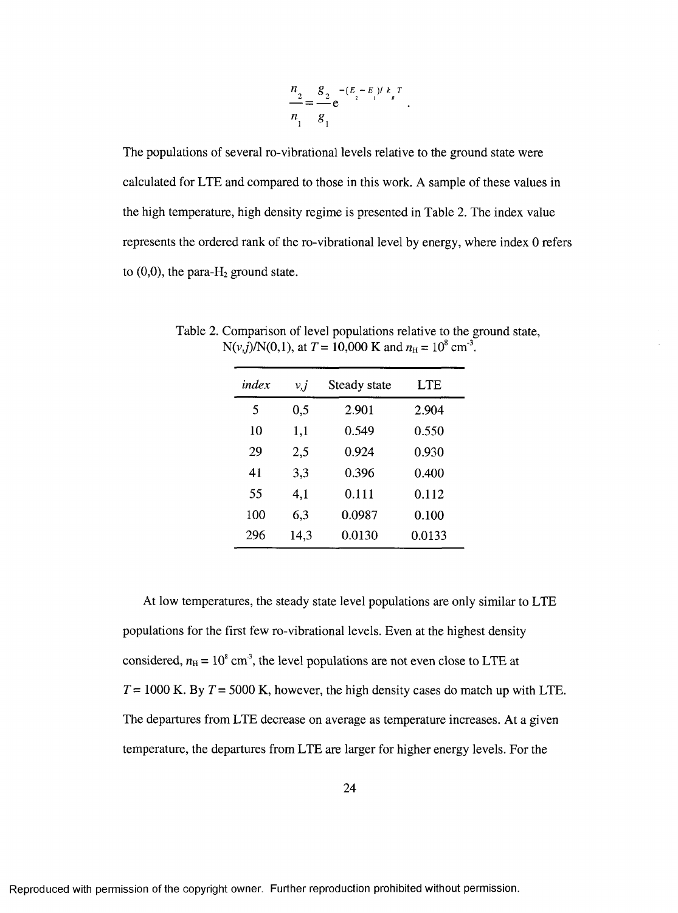$$
\frac{n_2}{n_1} = \frac{g_2}{g_1} e^{-\left(E_2 - E_1\right)l k_B T}.
$$

The populations of several ro-vibrational levels relative to the ground state were calculated for LTE and compared to those in this work. A sample of these values in the high temperature, high density regime is presented in Table 2. The index value represents the ordered rank of the ro-vibrational level by energy, where index 0 refers to  $(0,0)$ , the para-H<sub>2</sub> ground state.

| index | v, j | Steady state | <b>LTE</b> |
|-------|------|--------------|------------|
| 5     | 0,5  | 2.901        | 2.904      |
| 10    | 1,1  | 0.549        | 0.550      |
| 29    | 2,5  | 0.924        | 0.930      |
| 41    | 3,3  | 0.396        | 0.400      |
| 55    | 4,1  | 0.111        | 0.112      |
| 100   | 6,3  | 0.0987       | 0.100      |
| 296   | 14,3 | 0.0130       | 0.0133     |

Table 2. Comparison of level populations relative to the ground state,  $N(v, j)/N(0, 1)$ , at  $T = 10,000$  K and  $n<sub>H</sub> = 10<sup>8</sup>$  cm<sup>-3</sup>.

At low temperatures, the steady state level populations are only similar to LTE populations for the first few ro-vibrational levels. Even at the highest density considered,  $n_{\text{H}} = 10^8 \text{ cm}^3$ , the level populations are not even close to LTE at  $T = 1000$  K. By  $T = 5000$  K, however, the high density cases do match up with LTE. The departures from LTE decrease on average as temperature increases. At a given temperature, the departures from LTE are larger for higher energy levels. Eor the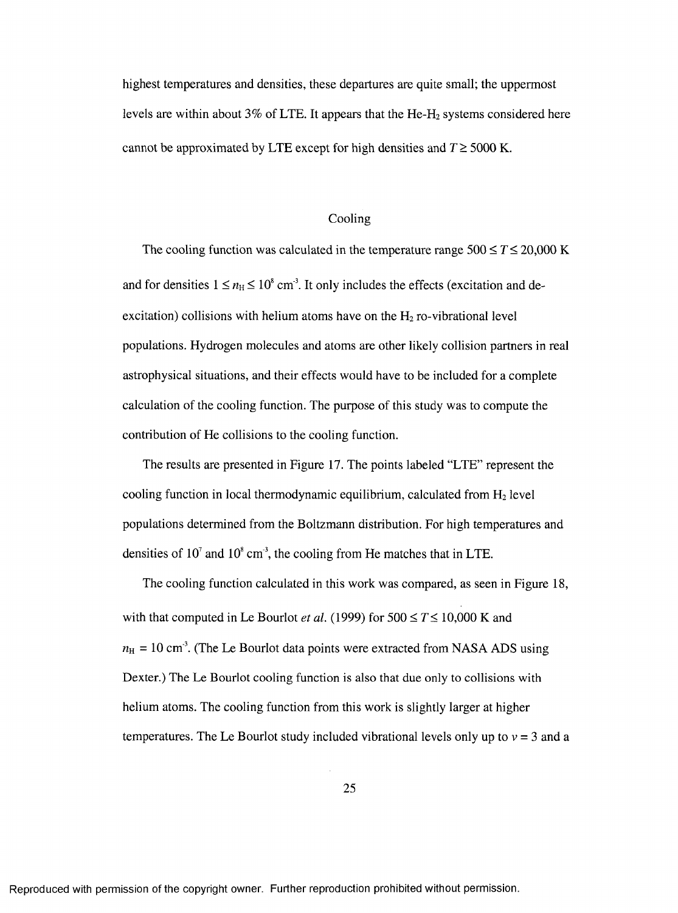highest temperatures and densities, these departures are quite small; the uppermost levels are within about 3% of LTE. It appears that the He-H<sub>2</sub> systems considered here cannot be approximated by LTE except for high densities and  $T \geq 5000$  K.

#### Cooling

The cooling function was calculated in the temperature range  $500 \le T \le 20,000$  K and for densities  $1 \le n_H \le 10^8$  cm<sup>3</sup>. It only includes the effects (excitation and deexcitation) collisions with helium atoms have on the  $H_2$  ro-vibrational level populations. Hydrogen molecules and atoms are other likely collision partners in real astrophysical situations, and their effects would have to be included for a complete calculation of the cooling function. The purpose of this study was to compute the contribution of He collisions to the cooling function.

The results are presented in Figure 17. The points labeled "LTE" represent the cooling function in local thermodynamic equilibrium, calculated from  $H_2$  level populations determined from the Boltzmann distribution. For high temperatures and densities of  $10^7$  and  $10^8$  cm<sup>3</sup>, the cooling from He matches that in LTE.

The cooling function calculated in this work was compared, as seen in Eigure 18, with that computed in Le Bourlot *et al.* (1999) for  $500 \le T \le 10,000$  K and  $n_{\rm H}$  = 10 cm<sup>3</sup>. (The Le Bourlot data points were extracted from NASA ADS using Dexter.) The Le Bourlot cooling function is also that due only to collisions with helium atoms. The cooling function from this work is slightly larger at higher temperatures. The Le Bourlot study included vibrational levels only up to  $v = 3$  and a

25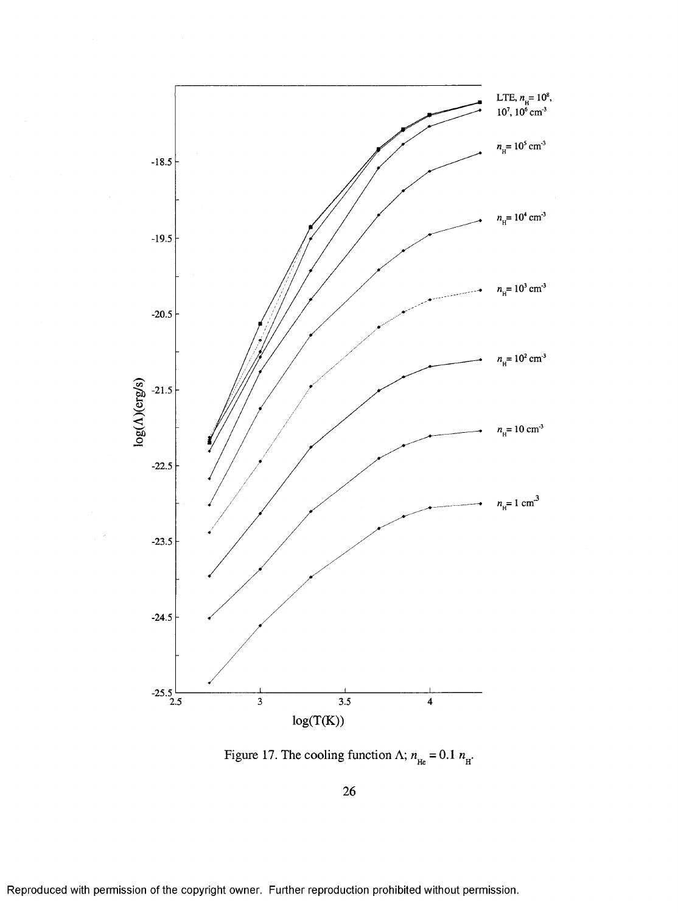

Figure 17. The cooling function  $\Lambda$ ;  $n_{\text{He}} = 0.1 n_{\text{H}}$ .

26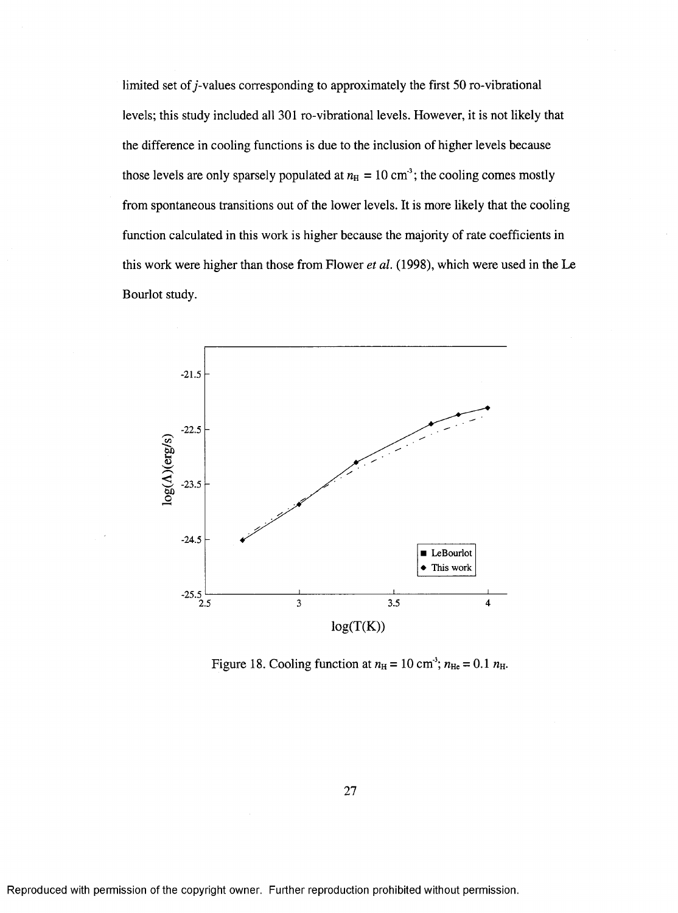limited set of  $j$ -values corresponding to approximately the first 50 ro-vibrational levels; this study included all 301 ro-vibrational levels. However, it is not likely that the difference in cooling functions is due to the inclusion of higher levels because those levels are only sparsely populated at  $n_H = 10 \text{ cm}^3$ ; the cooling comes mostly from spontaneous transitions out of the lower levels. It is more likely that the cooling function calculated in this work is higher because the majority of rate coefficients in this work were higher than those from Flower *et al.* (1998), which were used in the Le Bourlot study.



Figure 18. Cooling function at  $n_{\text{H}} = 10 \text{ cm}^3$ ;  $n_{\text{He}} = 0.1 n_{\text{H}}$ .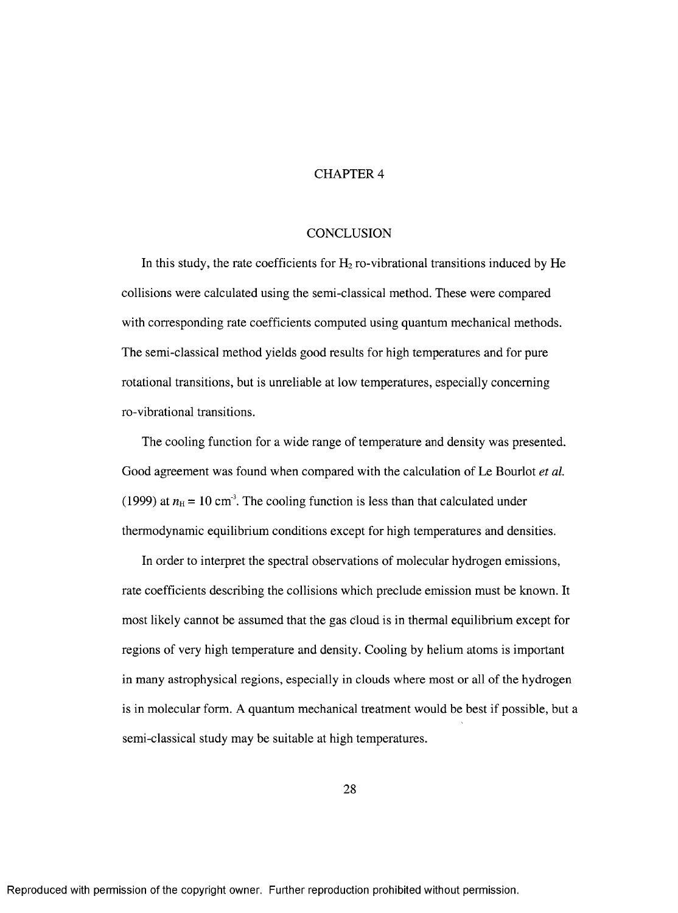#### CHAPTER 4

#### **CONCLUSION**

In this study, the rate coefficients for  $H_2$  ro-vibrational transitions induced by He collisions were calculated using the semi-classical method. These were compared with corresponding rate coefficients computed using quantum mechanical methods. The semi-classical method yields good results for high temperatures and for pure rotational transitions, but is unreliable at low temperatures, especially concerning ro-vibrational transitions.

The cooling function for a wide range of temperature and density was presented. Good agreement was found when compared with the calculation of Le Bourlot *et al.* (1999) at  $n_{\rm H}$  = 10 cm<sup>3</sup>. The cooling function is less than that calculated under thermodynamic equilibrium conditions except for high temperatures and densities.

In order to interpret the spectral observations of molecular hydrogen emissions, rate coefficients describing the collisions which preclude emission must be known. It most likely cannot be assumed that the gas cloud is in thermal equilibrium except for regions of very high temperature and density. Cooling by helium atoms is important in many astrophysical regions, especially in clouds where most or all of the hydrogen is in molecular form. A quantum mechanical treatment would be best if possible, but a semi-classical study may be suitable at high temperatures.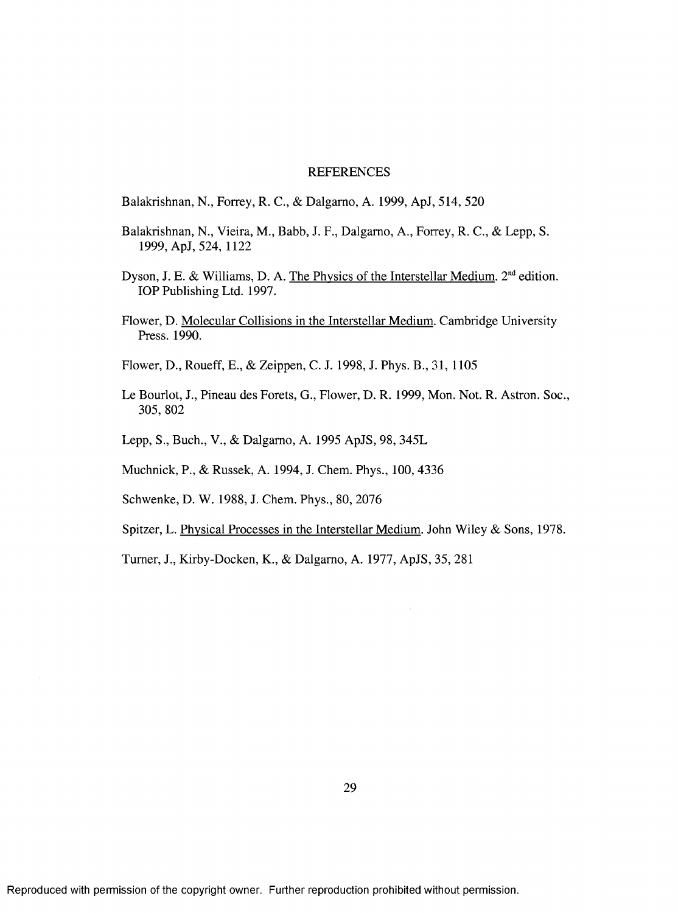#### REFERENCES

- Balakrishnan, N., Forrey, R. C., & Dalgamo, A. 1999, ApJ, 514, 520
- Balakrishnan, N., Vieira, M., Babb, J. F., Dalgamo, A., Forrey, R. C., & Lepp, S. 1999, ApJ, 524, 1122
- Dyson, J. E. & Williams, D. A. The Physics of the Interstellar Medium.  $2<sup>nd</sup>$  edition. lOP Publishing Ltd. 1997.
- Flower, D. Molecular Collisions in the Interstellar Medium. Cambridge University Press. 1990.
- Flower, D., Roueff, E., & Zeippen, C. J. 1998, J. Phys. B., 31, 1105
- Le Bourlot, J., Pineau des Forets, G., Flower, D. R. 1999, Mon. Not. R. Astron. Soc., 305,802
- Lepp, S., Buch., V., & Dalgamo, A. 1995 ApJS, 98, 345L
- Muchnick, P., & Russek, A. 1994, J. Chem. Phys., 100, 4336
- Schwenke, D. W. 1988, J. Chem. Phys., 80, 2076
- Spitzer, L. Physical Processes in the Interstellar Medium. John Wiley & Sons, 1978.

Tumer, J., Kirby-Docken, K., & Dalgamo, A. 1977, ApJS, 35, 281